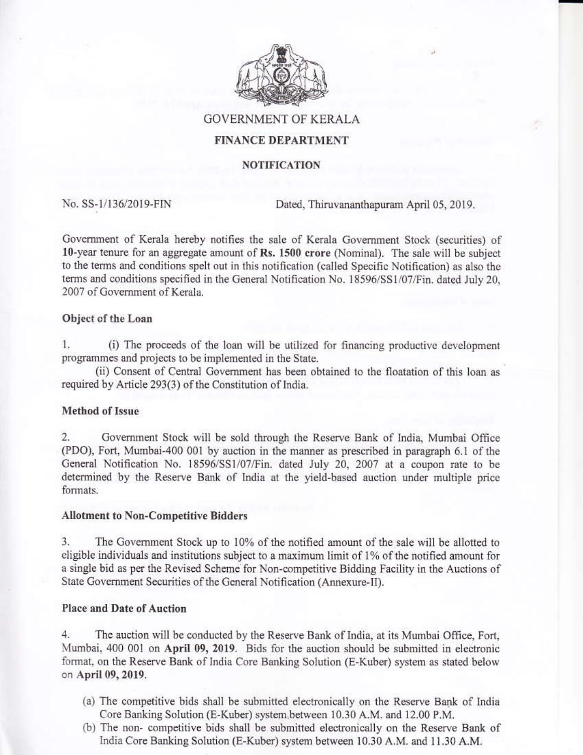

**GOVERNMENT OF KERALA** 

# **FINANCE DEPARTMENT**

### **NOTIFICATION**

No. SS-1/136/2019-FIN

Dated, Thiruvananthapuram April 05, 2019.

Government of Kerala hereby notifies the sale of Kerala Government Stock (securities) of 10-year tenure for an aggregate amount of Rs. 1500 crore (Nominal). The sale will be subject to the terms and conditions spelt out in this notification (called Specific Notification) as also the terms and conditions specified in the General Notification No. 18596/SS1/07/Fin. dated July 20, 2007 of Government of Kerala.

### Object of the Loan

1. (i) The proceeds of the loan will be utilized for financing productive development programmes and projects to be implemented in the State.

(ii) Consent of Central Government has been obtained to the floatation of this loan as required by Article 293(3) of the Constitution of India.

## Method of Issue

 $\overline{2}$ . Government Stock will be sold through the Reserve Bank of India, Mumbai Office (PDO), Fort, Mumbai-400 001 by auction in the manner as prescribed in paragraph 6.1 of the General Notification No. 18596/SS1/07/Fin. dated July 20, 2007 at a coupon rate to be determined by the Reserve Bank of India at the yield-based auction under multiple price formats.

## **Allotment to Non-Competitive Bidders**

3. The Government Stock up to 10% of the notified amount of the sale will be allotted to eligible individuals and institutions subject to a maximum limit of 1% of the notified amount for a single bid as per the Revised Scheme for Non-competitive Bidding Facility in the Auctions of State Government Securities of the General Notification (Annexure-II).

## **Place and Date of Auction**

 $4.$ The auction will be conducted by the Reserve Bank of India, at its Mumbai Office, Fort, Mumbai, 400 001 on April 09, 2019. Bids for the auction should be submitted in electronic format, on the Reserve Bank of India Core Banking Solution (E-Kuber) system as stated below on April 09, 2019.

- (a) The competitive bids shall be submitted electronically on the Reserve Bank of India Core Banking Solution (E-Kuber) system between 10.30 A.M. and 12.00 P.M.
- (b) The non- competitive bids shall be submitted electronically on the Reserve Bank of India Core Banking Solution (E-Kuber) system between 10.30 A.M. and 11.30 A.M.